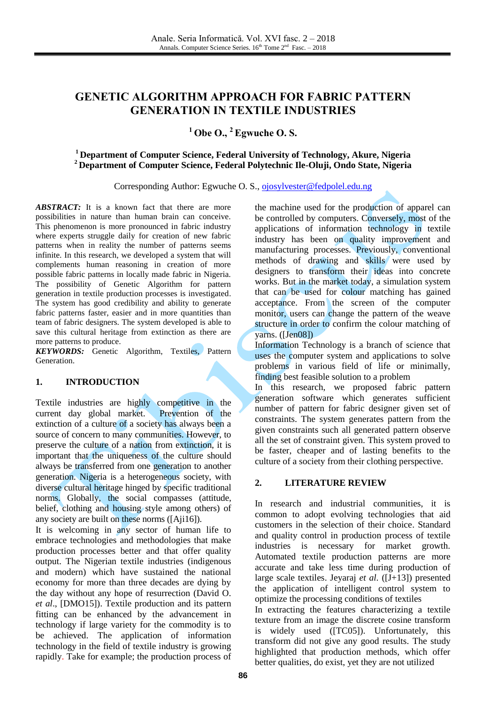# **GENETIC ALGORITHM APPROACH FOR FABRIC PATTERN GENERATION IN TEXTILE INDUSTRIES**

## **<sup>1</sup> Obe O., <sup>2</sup>Egwuche O. S.**

## **<sup>1</sup> Department of Computer Science, Federal University of Technology, Akure, Nigeria <sup>2</sup> Department of Computer Science, Federal Polytechnic Ile-Oluji, Ondo State, Nigeria**

Corresponding Author: Egwuche O. S., [ojosylvester@fedpolel.edu.ng](mailto:ojosylvester@fedpolel.edu.ng)

*ABSTRACT:* It is a known fact that there are more possibilities in nature than human brain can conceive. This phenomenon is more pronounced in fabric industry where experts struggle daily for creation of new fabric patterns when in reality the number of patterns seems infinite. In this research, we developed a system that will complements human reasoning in creation of more possible fabric patterns in locally made fabric in Nigeria. The possibility of Genetic Algorithm for pattern generation in textile production processes is investigated. The system has good credibility and ability to generate fabric patterns faster, easier and in more quantities than team of fabric designers. The system developed is able to save this cultural heritage from extinction as there are more patterns to produce.

*KEYWORDS:* Genetic Algorithm, Textiles, Pattern Generation.

#### **1. INTRODUCTION**

Textile industries are highly competitive in the current day global market. Prevention of the extinction of a culture of a society has always been a source of concern to many communities. However, to preserve the culture of a nation from extinction, it is important that the uniqueness of the culture should always be transferred from one generation to another generation. Nigeria is a heterogeneous society, with diverse cultural heritage hinged by specific traditional norms. Globally, the social compasses (attitude, belief, clothing and housing style among others) of any society are built on these norms ([Aji16]).

It is welcoming in any sector of human life to embrace technologies and methodologies that make production processes better and that offer quality output. The Nigerian textile industries (indigenous and modern) which have sustained the national economy for more than three decades are dying by the day without any hope of resurrection (David O. *et al*., [DMO15]). Textile production and its pattern fitting can be enhanced by the advancement in technology if large variety for the commodity is to be achieved. The application of information technology in the field of textile industry is growing rapidly. Take for example; the production process of the machine used for the production of apparel can be controlled by computers. Conversely, most of the applications of information technology in textile industry has been on quality improvement and manufacturing processes. Previously, conventional methods of drawing and skills were used by designers to transform their ideas into concrete works. But in the market today, a simulation system that can be used for colour matching has gained acceptance. From the screen of the computer monitor, users can change the pattern of the weave structure in order to confirm the colour matching of yarns. ([Jen08])

Information Technology is a branch of science that uses the computer system and applications to solve problems in various field of life or minimally, finding best feasible solution to a problem

In this research, we proposed fabric pattern generation software which generates sufficient number of pattern for fabric designer given set of constraints. The system generates pattern from the given constraints such all generated pattern observe all the set of constraint given. This system proved to be faster, cheaper and of lasting benefits to the culture of a society from their clothing perspective.

## **2. LITERATURE REVIEW**

In research and industrial communities, it is common to adopt evolving technologies that aid customers in the selection of their choice. Standard and quality control in production process of textile industries is necessary for market growth. Automated textile production patterns are more accurate and take less time during production of large scale textiles. Jeyaraj *et al.* ([J+13]) presented the application of intelligent control system to optimize the processing conditions of textiles In extracting the features characterizing a textile

texture from an image the discrete cosine transform is widely used ([TC05]). Unfortunately, this transform did not give any good results. The study highlighted that production methods, which offer better qualities, do exist, yet they are not utilized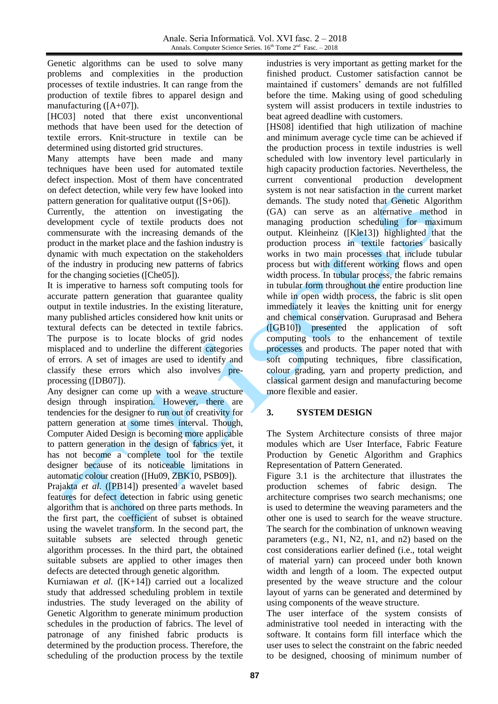Genetic algorithms can be used to solve many problems and complexities in the production processes of textile industries. It can range from the production of textile fibres to apparel design and manufacturing ([A+07]).

[HC03] noted that there exist unconventional methods that have been used for the detection of textile errors. Knit-structure in textile can be determined using distorted grid structures.

Many attempts have been made and many techniques have been used for automated textile defect inspection. Most of them have concentrated on defect detection, while very few have looked into pattern generation for qualitative output ([S+06]).

Currently, the attention on investigating the development cycle of textile products does not commensurate with the increasing demands of the product in the market place and the fashion industry is dynamic with much expectation on the stakeholders of the industry in producing new patterns of fabrics for the changing societies ([Che05]).

It is imperative to harness soft computing tools for accurate pattern generation that guarantee quality output in textile industries. In the existing literature, many published articles considered how knit units or textural defects can be detected in textile fabrics. The purpose is to locate blocks of grid nodes misplaced and to underline the different categories of errors. A set of images are used to identify and classify these errors which also involves preprocessing ([DB07]).

Any designer can come up with a weave structure design through inspiration. However, there are tendencies for the designer to run out of creativity for pattern generation at some times interval. Though, Computer Aided Design is becoming more applicable to pattern generation in the design of fabrics yet, it has not become a complete tool for the textile designer because of its noticeable limitations in automatic colour creation ([Hu09, ZBK10, PSB09]).

Prajakta *et al.* ([PB14]) presented a wavelet based features for defect detection in fabric using genetic algorithm that is anchored on three parts methods. In the first part, the coefficient of subset is obtained using the wavelet transform. In the second part, the suitable subsets are selected through genetic algorithm processes. In the third part, the obtained suitable subsets are applied to other images then defects are detected through genetic algorithm.

Kurniawan *et al.* ([K+14]) carried out a localized study that addressed scheduling problem in textile industries. The study leveraged on the ability of Genetic Algorithm to generate minimum production schedules in the production of fabrics. The level of patronage of any finished fabric products is determined by the production process. Therefore, the scheduling of the production process by the textile industries is very important as getting market for the finished product. Customer satisfaction cannot be maintained if customers' demands are not fulfilled before the time. Making using of good scheduling system will assist producers in textile industries to beat agreed deadline with customers.

[HS08] identified that high utilization of machine and minimum average cycle time can be achieved if the production process in textile industries is well scheduled with low inventory level particularly in high capacity production factories. Nevertheless, the current conventional production development system is not near satisfaction in the current market demands. The study noted that Genetic Algorithm (GA) can serve as an alternative method in managing production scheduling for maximum output. Kleinheinz ([Kle13]) highlighted that the production process in textile factories basically works in two main processes that include tubular process but with different working flows and open width process. In tubular process, the fabric remains in tubular form throughout the entire production line while in open width process, the fabric is slit open immediately it leaves the knitting unit for energy and chemical conservation. Guruprasad and Behera ([GB10]) presented the application of soft computing tools to the enhancement of textile processes and products. The paper noted that with soft computing techniques, fibre classification, colour grading, yarn and property prediction, and classical garment design and manufacturing become more flexible and easier.

## **3. SYSTEM DESIGN**

The System Architecture consists of three major modules which are User Interface, Fabric Feature Production by Genetic Algorithm and Graphics Representation of Pattern Generated.

Figure 3.1 is the architecture that illustrates the production schemes of fabric design. The architecture comprises two search mechanisms; one is used to determine the weaving parameters and the other one is used to search for the weave structure. The search for the combination of unknown weaving parameters (e.g., N1, N2, n1, and n2) based on the cost considerations earlier defined (i.e., total weight of material yarn) can proceed under both known width and length of a loom. The expected output presented by the weave structure and the colour layout of yarns can be generated and determined by using components of the weave structure.

The user interface of the system consists of administrative tool needed in interacting with the software. It contains form fill interface which the user uses to select the constraint on the fabric needed to be designed, choosing of minimum number of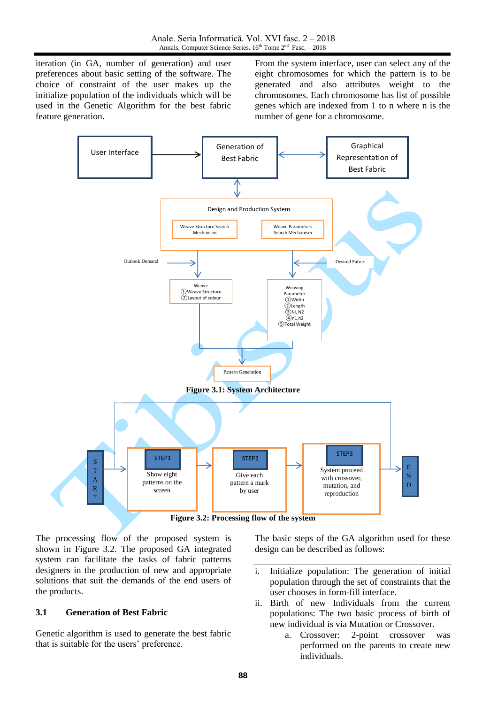iteration (in GA, number of generation) and user preferences about basic setting of the software. The choice of constraint of the user makes up the initialize population of the individuals which will be used in the Genetic Algorithm for the best fabric feature generation.

From the system interface, user can select any of the eight chromosomes for which the pattern is to be generated and also attributes weight to the chromosomes. Each chromosome has list of possible genes which are indexed from 1 to n where n is the number of gene for a chromosome.



The processing flow of the proposed system is shown in Figure 3.2. The proposed GA integrated system can facilitate the tasks of fabric patterns designers in the production of new and appropriate solutions that suit the demands of the end users of the products.

## **3.1 Generation of Best Fabric**

Genetic algorithm is used to generate the best fabric that is suitable for the users' preference.

The basic steps of the GA algorithm used for these design can be described as follows:

- i. Initialize population: The generation of initial population through the set of constraints that the user chooses in form-fill interface.
- ii. Birth of new Individuals from the current populations: The two basic process of birth of new individual is via Mutation or Crossover.
	- a. Crossover: 2-point crossover was performed on the parents to create new individuals.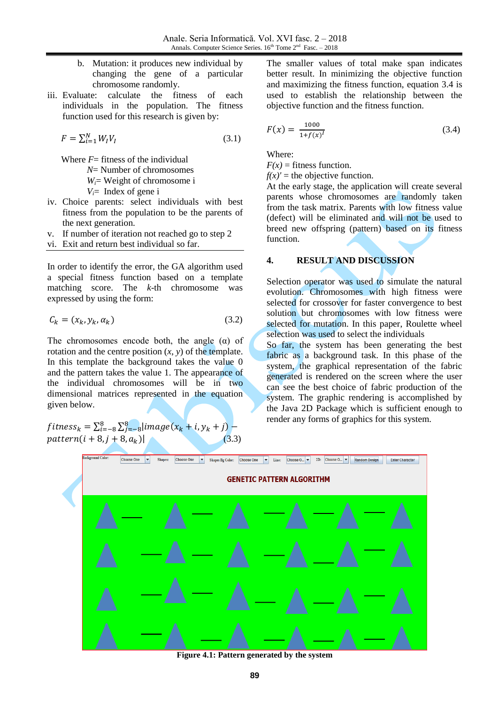- b. Mutation: it produces new individual by changing the gene of a particular chromosome randomly.
- iii. Evaluate: calculate the fitness of each individuals in the population. The fitness function used for this research is given by:

$$
F = \sum_{i=1}^{N} W_i V_i \tag{3.1}
$$

Where  $F=$  fitness of the individual

- *N*= Number of chromosomes
	- *Wi*= Weight of chromosome i

 $V_i$ = Index of gene i

- iv. Choice parents: select individuals with best fitness from the population to be the parents of the next generation.
- v. If number of iteration not reached go to step 2
- vi. Exit and return best individual so far.

In order to identify the error, the GA algorithm used a special fitness function based on a template matching score. The *k*-th chromosome was expressed by using the form:

$$
\mathcal{C}_k = (x_k, y_k, \alpha_k) \tag{3.2}
$$

The chromosomes encode both, the angle  $(\alpha)$  of rotation and the centre position  $(x, y)$  of the template. In this template the background takes the value 0 and the pattern takes the value 1. The appearance of the individual chromosomes will be in two dimensional matrices represented in the equation given below.

f itness $_{k}=\sum_{i=-8}^{8}\sum_{j}^{8}$  $pattern(i + 8, j + 8, a_k)$  The smaller values of total make span indicates better result. In minimizing the objective function and maximizing the fitness function, equation 3.4 is used to establish the relationship between the objective function and the fitness function.

$$
F(x) = \frac{1000}{1 + f(x)^{I}}
$$
 (3.4)

Where:

 $F(x)$  = fitness function.

 $f(x)'$  = the objective function.

At the early stage, the application will create several parents whose chromosomes are randomly taken from the task matrix. Parents with low fitness value (defect) will be eliminated and will not be used to breed new offspring (pattern) based on its fitness function.

#### **4. RESULT AND DISCUSSION**

Selection operator was used to simulate the natural evolution. Chromosomes with high fitness were selected for crossover for faster convergence to best solution but chromosomes with low fitness were selected for mutation. In this paper, Roulette wheel selection was used to select the individuals

So far, the system has been generating the best fabric as a background task. In this phase of the system, the graphical representation of the fabric generated is rendered on the screen where the user can see the best choice of fabric production of the system. The graphic rendering is accomplished by the Java 2D Package which is sufficient enough to render any forms of graphics for this system.



**Figure 4.1: Pattern generated by the system**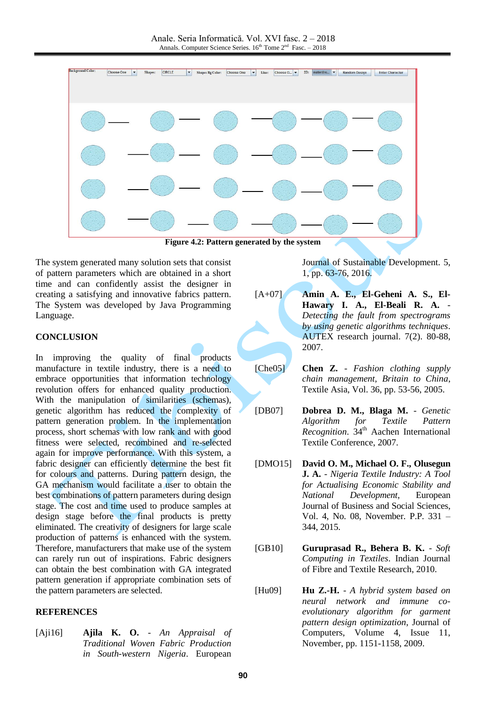

**Figure 4.2: Pattern generated by the system**

The system generated many solution sets that consist of pattern parameters which are obtained in a short time and can confidently assist the designer in creating a satisfying and innovative fabrics pattern. The System was developed by Java Programming Language.

#### **CONCLUSION**

In improving the quality of final products manufacture in textile industry, there is a need to embrace opportunities that information technology revolution offers for enhanced quality production. With the manipulation of similarities (schemas), genetic algorithm has reduced the complexity of pattern generation problem. In the implementation process, short schemas with low rank and with good fitness were selected, recombined and re-selected again for improve performance. With this system, a fabric designer can efficiently determine the best fit for colours and patterns. During pattern design, the GA mechanism would facilitate a user to obtain the best combinations of pattern parameters during design stage. The cost and time used to produce samples at design stage before the final products is pretty eliminated. The creativity of designers for large scale production of patterns is enhanced with the system. Therefore, manufacturers that make use of the system can rarely run out of inspirations. Fabric designers can obtain the best combination with GA integrated pattern generation if appropriate combination sets of the pattern parameters are selected.

#### **REFERENCES**

[Aji16] **Ajila K. O.** - *An Appraisal of Traditional Woven Fabric Production in South-western Nigeria*. European

Journal of Sustainable Development. 5, 1, pp. 63-76, 2016.

[A+07] **Amin A. E., El-Geheni A. S., El-Hawary I. A., El-Beali R. A.** - *Detecting the fault from spectrograms by using genetic algorithms techniques*. AUTEX research journal. 7(2). 80-88, 2007.

[Che05] **Chen Z.** - *Fashion clothing supply chain management, Britain to China*, Textile Asia, Vol. 36, pp. 53-56, 2005.

[DB07] **Dobrea D. M., Blaga M.** - *Genetic Algorithm for Textile Pattern Recognition*. 34<sup>th</sup> Aachen International Textile Conference, 2007.

[DMO15] **David O. M., Michael O. F., Olusegun J. A.** - *Nigeria Textile Industry: A Tool for Actualising Economic Stability and National Development*, European Journal of Business and Social Sciences, Vol. 4, No. 08, November. P.P. 331 – 344, 2015.

[GB10] **Guruprasad R., Behera B. K.** - *Soft Computing in Textiles*. Indian Journal of Fibre and Textile Research, 2010.

[Hu09] **Hu Z.-H.** - *A hybrid system based on neural network and immune coevolutionary algorithm for garment pattern design optimization*, Journal of Computers, Volume 4, Issue 11, November, pp. 1151-1158, 2009.